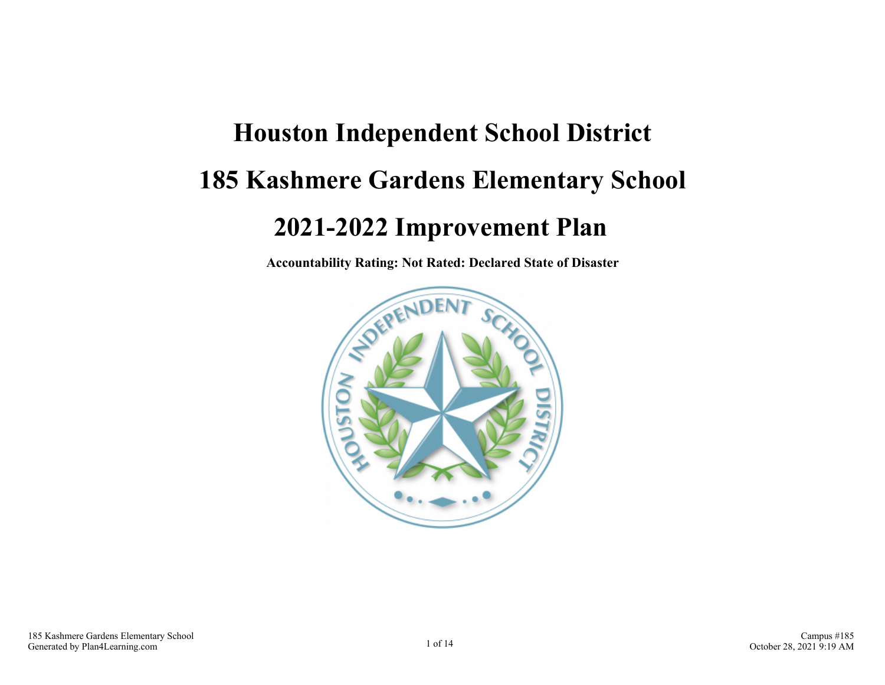# **Houston Independent School District 185 Kashmere Gardens Elementary School 2021-2022 Improvement Plan**

**Accountability Rating: Not Rated: Declared State of Disaster**

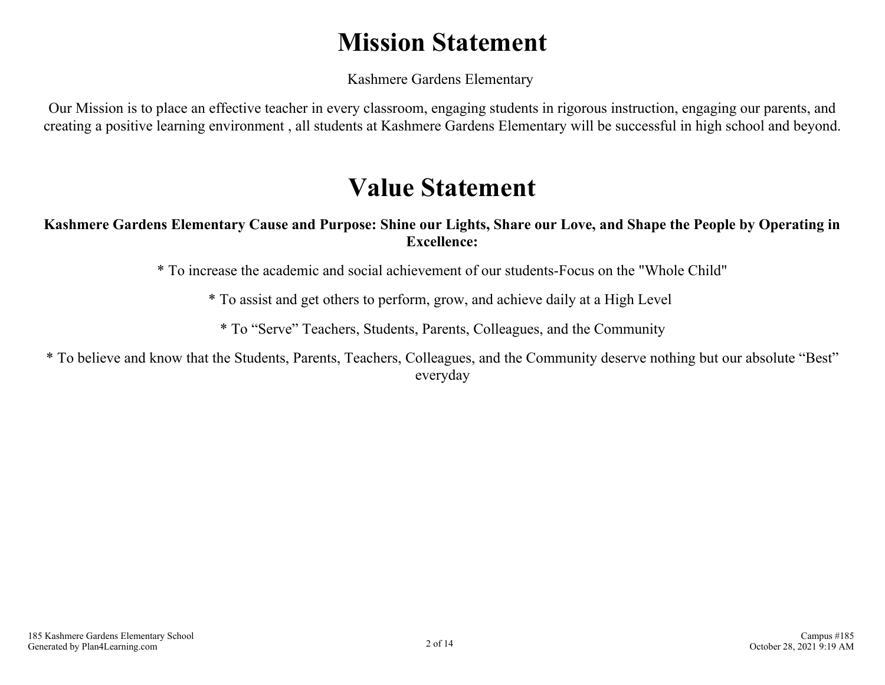## **Mission Statement**

Kashmere Gardens Elementary

Our Mission is to place an effective teacher in every classroom, engaging students in rigorous instruction, engaging our parents, and creating a positive learning environment , all students at Kashmere Gardens Elementary will be successful in high school and beyond.

## **Value Statement**

#### **Kashmere Gardens Elementary Cause and Purpose: Shine our Lights, Share our Love, and Shape the People by Operating in Excellence:**

\* To increase the academic and social achievement of our students-Focus on the "Whole Child"

\* To assist and get others to perform, grow, and achieve daily at a High Level

\* To "Serve" Teachers, Students, Parents, Colleagues, and the Community

\* To believe and know that the Students, Parents, Teachers, Colleagues, and the Community deserve nothing but our absolute "Best" everyday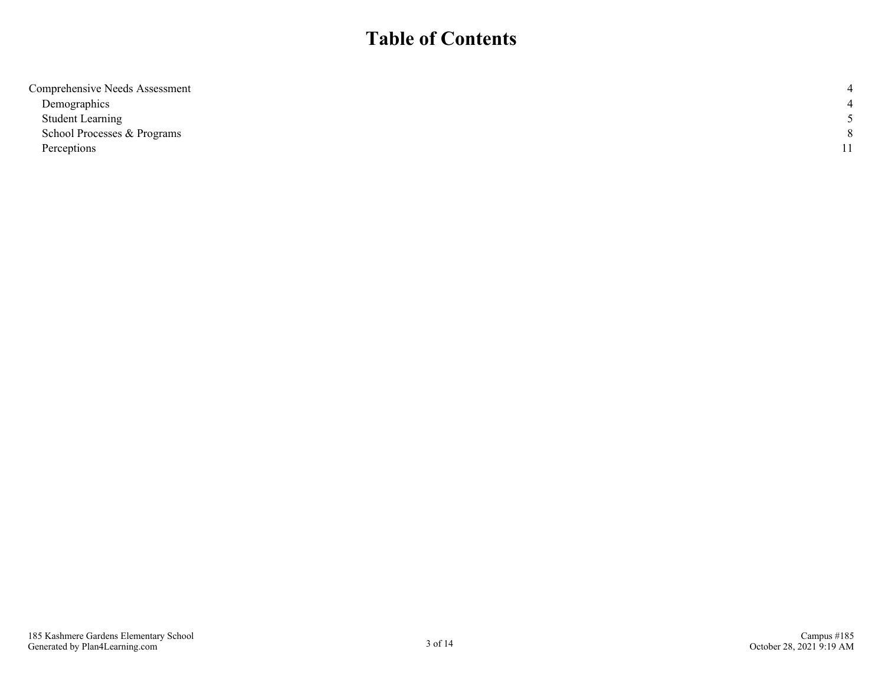## **Table of Contents**

| Comprehensive Needs Assessment |  |
|--------------------------------|--|
| Demographics                   |  |
| <b>Student Learning</b>        |  |
| School Processes & Programs    |  |
| Perceptions                    |  |
|                                |  |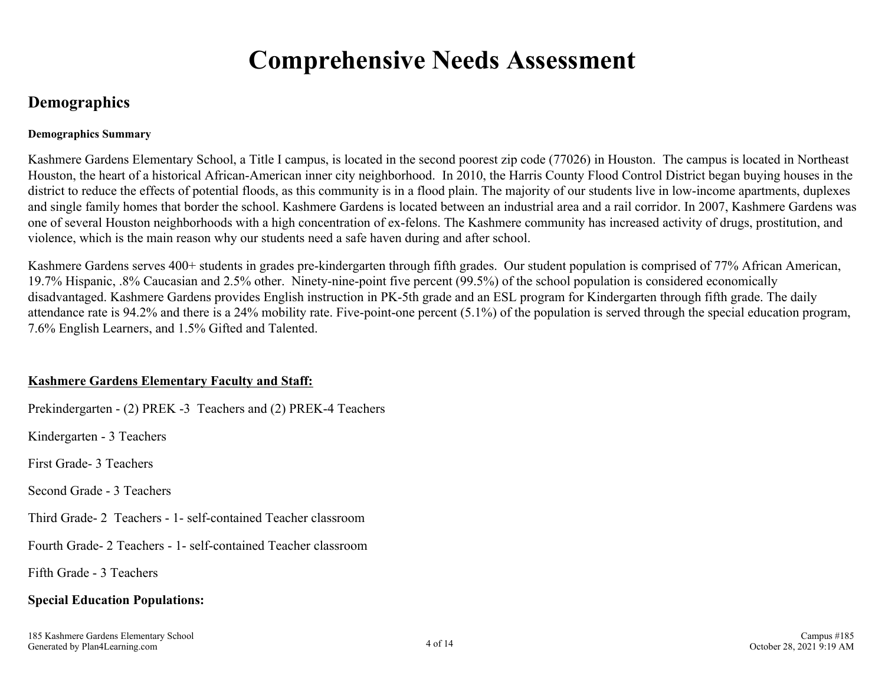## **Comprehensive Needs Assessment**

## <span id="page-3-0"></span>**Demographics**

#### **Demographics Summary**

Kashmere Gardens Elementary School, a Title I campus, is located in the second poorest zip code (77026) in Houston. The campus is located in Northeast Houston, the heart of a historical African-American inner city neighborhood. In 2010, the Harris County Flood Control District began buying houses in the district to reduce the effects of potential floods, as this community is in a flood plain. The majority of our students live in low-income apartments, duplexes and single family homes that border the school. Kashmere Gardens is located between an industrial area and a rail corridor. In 2007, Kashmere Gardens was one of several Houston neighborhoods with a high concentration of ex-felons. The Kashmere community has increased activity of drugs, prostitution, and violence, which is the main reason why our students need a safe haven during and after school.

Kashmere Gardens serves 400+ students in grades pre-kindergarten through fifth grades. Our student population is comprised of 77% African American, 19.7% Hispanic, .8% Caucasian and 2.5% other. Ninety-nine-point five percent (99.5%) of the school population is considered economically disadvantaged. Kashmere Gardens provides English instruction in PK-5th grade and an ESL program for Kindergarten through fifth grade. The daily attendance rate is 94.2% and there is a 24% mobility rate. Five-point-one percent (5.1%) of the population is served through the special education program, 7.6% English Learners, and 1.5% Gifted and Talented.

#### **Kashmere Gardens Elementary Faculty and Staff:**

Prekindergarten - (2) PREK -3 Teachers and (2) PREK-4 Teachers

Kindergarten - 3 Teachers

First Grade- 3 Teachers

Second Grade - 3 Teachers

Third Grade- 2 Teachers - 1- self-contained Teacher classroom

Fourth Grade- 2 Teachers - 1- self-contained Teacher classroom

Fifth Grade - 3 Teachers

#### **Special Education Populations:**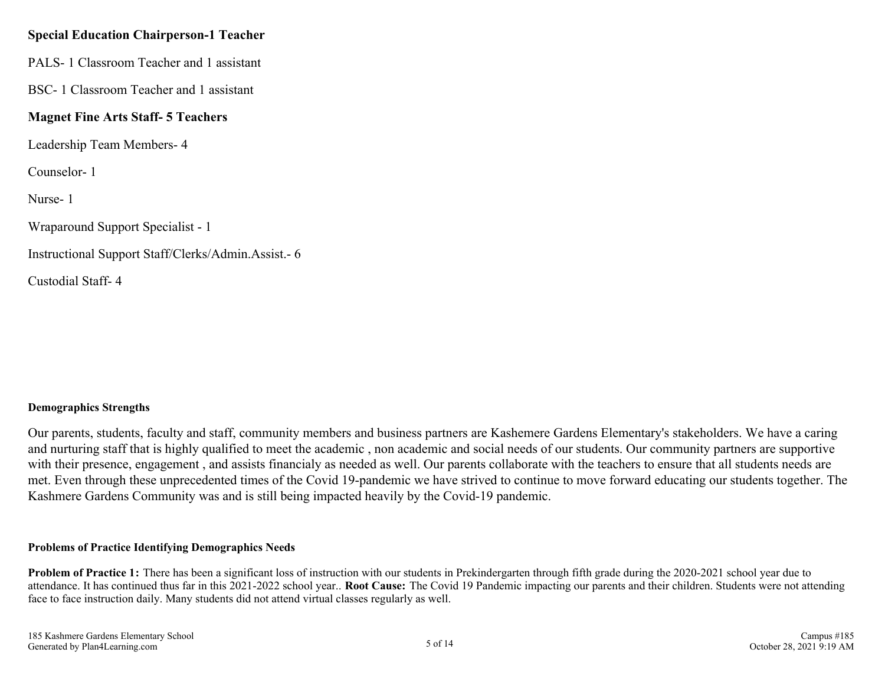#### **Special Education Chairperson-1 Teacher**

PALS- 1 Classroom Teacher and 1 assistant

BSC- 1 Classroom Teacher and 1 assistant

#### **Magnet Fine Arts Staff- 5 Teachers**

Leadership Team Members- 4

Counselor- 1

Nurse- 1

Wraparound Support Specialist - 1

Instructional Support Staff/Clerks/Admin.Assist.- 6

Custodial Staff- 4

#### **Demographics Strengths**

Our parents, students, faculty and staff, community members and business partners are Kashemere Gardens Elementary's stakeholders. We have a caring and nurturing staff that is highly qualified to meet the academic , non academic and social needs of our students. Our community partners are supportive with their presence, engagement , and assists financialy as needed as well. Our parents collaborate with the teachers to ensure that all students needs are met. Even through these unprecedented times of the Covid 19-pandemic we have strived to continue to move forward educating our students together. The Kashmere Gardens Community was and is still being impacted heavily by the Covid-19 pandemic.

#### **Problems of Practice Identifying Demographics Needs**

Problem of Practice 1: There has been a significant loss of instruction with our students in Prekindergarten through fifth grade during the 2020-2021 school year due to attendance. It has continued thus far in this 2021-2022 school year.. **Root Cause:** The Covid 19 Pandemic impacting our parents and their children. Students were not attending face to face instruction daily. Many students did not attend virtual classes regularly as well.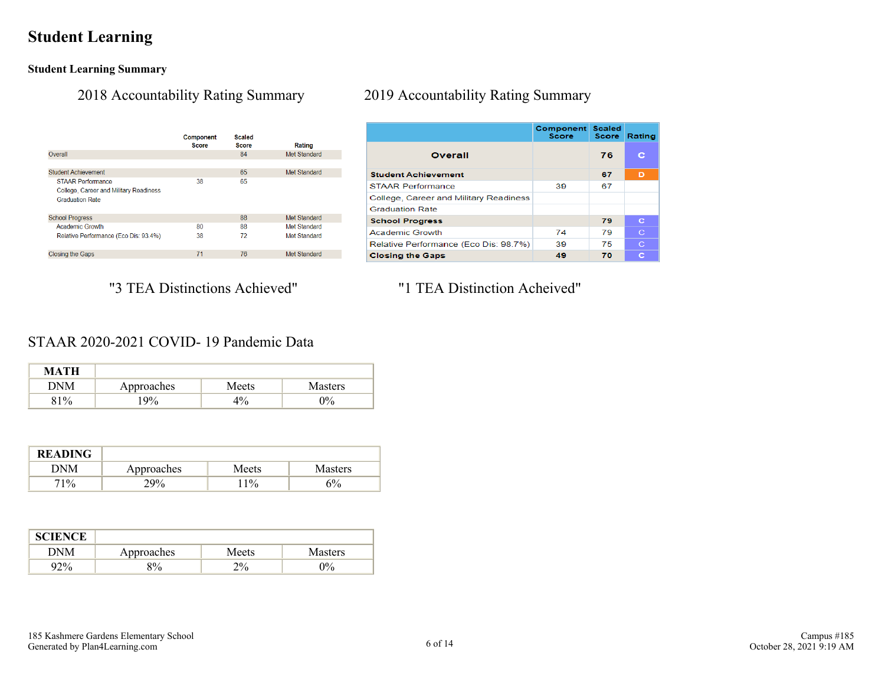## <span id="page-5-0"></span>**Student Learning**

**Student Learning Summary**

|                                                                                              | Component<br><b>Score</b> | Scaled<br><b>Score</b> | <b>Rating</b>       |
|----------------------------------------------------------------------------------------------|---------------------------|------------------------|---------------------|
| Overall                                                                                      |                           | 84                     | Met Standard        |
|                                                                                              |                           |                        |                     |
| <b>Student Achievement</b>                                                                   |                           | 65                     | Met Standard        |
| <b>STAAR Performance</b><br>College, Career and Military Readiness<br><b>Graduation Rate</b> | 38                        | 65                     |                     |
| <b>School Progress</b>                                                                       |                           | 88                     | <b>Met Standard</b> |
| <b>Academic Growth</b>                                                                       | 80                        | 88                     | Met Standard        |
| Relative Performance (Eco Dis: 93.4%)                                                        | 38                        | 72                     | Met Standard        |
| <b>Closing the Gaps</b>                                                                      | 71                        | 76                     | Met Standard        |

#### 2018 Accountability Rating Summary 2019 Accountability Rating Summary

|                                        | <b>Component Scaled</b><br><b>Score</b> | <b>Score</b> | Rating      |
|----------------------------------------|-----------------------------------------|--------------|-------------|
| Overall                                |                                         | 76           | c           |
| <b>Student Achievement</b>             |                                         | 67           | D           |
| <b>STAAR Performance</b>               | 39                                      | 67           |             |
| College, Career and Military Readiness |                                         |              |             |
| <b>Graduation Rate</b>                 |                                         |              |             |
| <b>School Progress</b>                 |                                         | 79           | c           |
| Academic Growth                        | 74                                      | 79           | $\mathbf C$ |
| Relative Performance (Eco Dis: 98.7%)  | 39                                      | 75           | $\mathbf C$ |
| <b>Closing the Gaps</b>                | 49                                      | 70           | c           |

### "3 TEA Distinctions Achieved" "1 TEA Distinction Acheived"

#### STAAR 2020-2021 COVID- 19 Pandemic Data

| <b>MATH</b> |            |       |                |
|-------------|------------|-------|----------------|
| DNM         | Approaches | Meets | <b>Masters</b> |
| 81%         | 19%        | 4%    | $0\%$          |

| <b>READING</b> |            |       |                |
|----------------|------------|-------|----------------|
| DNM            | Approaches | Meets | <b>Masters</b> |
| 71%            | 29%        | $1\%$ | 5%             |

| <b>SCIENCE</b> |            |       |         |
|----------------|------------|-------|---------|
| DNM            | Approaches | Meets | Masters |
| $92\%$         | 8%         | 2%    | 0%      |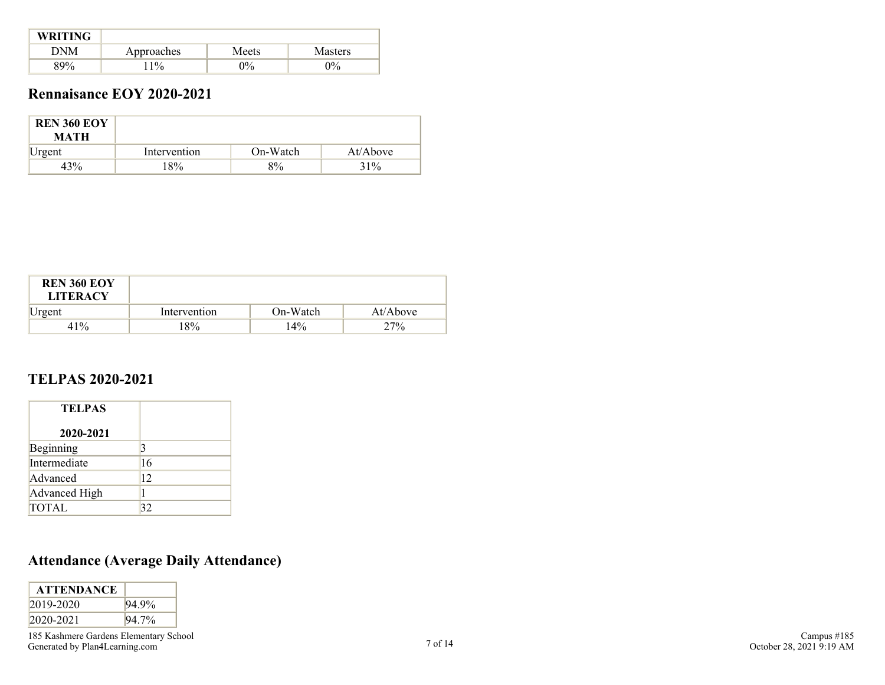| <b>WRITING</b> |            |       |                |
|----------------|------------|-------|----------------|
| DNM            | Approaches | Meets | <b>Masters</b> |
| 89%            | $1\%$      | $0\%$ | $0\%$          |

### **Rennaisance EOY 2020-2021**

| <b>REN 360 EOY</b><br><b>MATH</b> |              |          |          |
|-----------------------------------|--------------|----------|----------|
| Urgent                            | Intervention | On-Watch | At/Above |
| 43%                               | 18%          | 8%       | 31%      |

| <b>REN 360 EOY</b><br><b>LITERACY</b> |              |          |          |
|---------------------------------------|--------------|----------|----------|
| Urgent                                | Intervention | On-Watch | At/Above |
| 41%                                   | 8%           | $14\%$   | 27%      |

#### **TELPAS 2020-2021**

| <b>TELPAS</b> |              |
|---------------|--------------|
| 2020-2021     |              |
| Beginning     | 3            |
| Intermediate  | 16           |
| Advanced      | $ 12\rangle$ |
| Advanced High |              |
| <b>TOTAL</b>  | 32           |

## **Attendance (Average Daily Attendance)**

| <b>ATTENDANCE</b> |          |
|-------------------|----------|
| $2019 - 2020$     | 94.9%    |
| $2020 - 2021$     | $94.7\%$ |

185 Kashmere Gardens Elementary School For Kashincic Gardens Elementary School 7<br>
Generated by Plan4Learning.com 7 of 14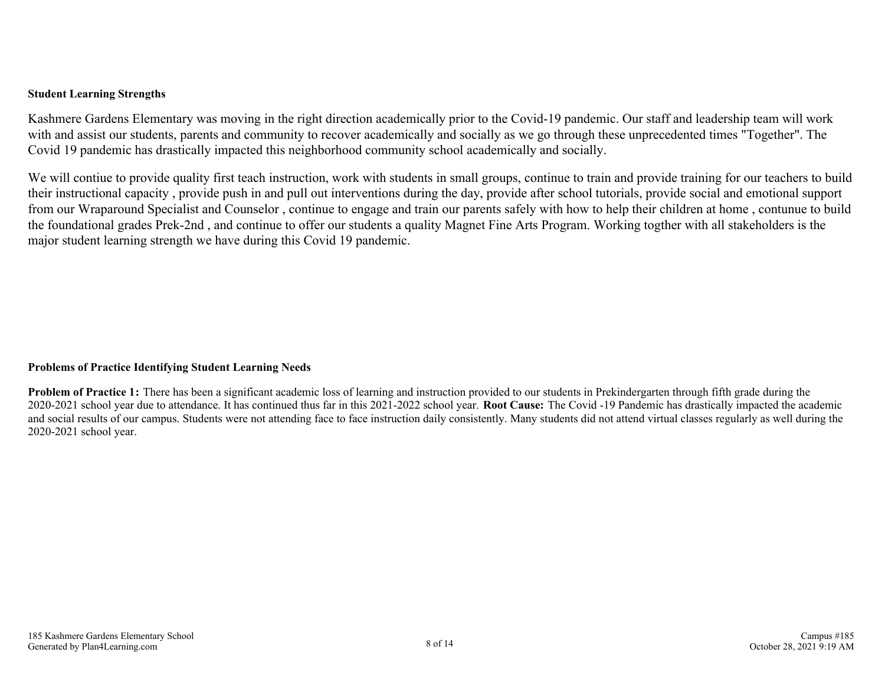#### **Student Learning Strengths**

Kashmere Gardens Elementary was moving in the right direction academically prior to the Covid-19 pandemic. Our staff and leadership team will work with and assist our students, parents and community to recover academically and socially as we go through these unprecedented times "Together". The Covid 19 pandemic has drastically impacted this neighborhood community school academically and socially.

We will contiue to provide quality first teach instruction, work with students in small groups, continue to train and provide training for our teachers to build their instructional capacity , provide push in and pull out interventions during the day, provide after school tutorials, provide social and emotional support from our Wraparound Specialist and Counselor , continue to engage and train our parents safely with how to help their children at home , contunue to build the foundational grades Prek-2nd , and continue to offer our students a quality Magnet Fine Arts Program. Working togther with all stakeholders is the major student learning strength we have during this Covid 19 pandemic.

#### **Problems of Practice Identifying Student Learning Needs**

**Problem of Practice 1:** There has been a significant academic loss of learning and instruction provided to our students in Prekindergarten through fifth grade during the 2020-2021 school year due to attendance. It has continued thus far in this 2021-2022 school year. **Root Cause:** The Covid -19 Pandemic has drastically impacted the academic and social results of our campus. Students were not attending face to face instruction daily consistently. Many students did not attend virtual classes regularly as well during the 2020-2021 school year.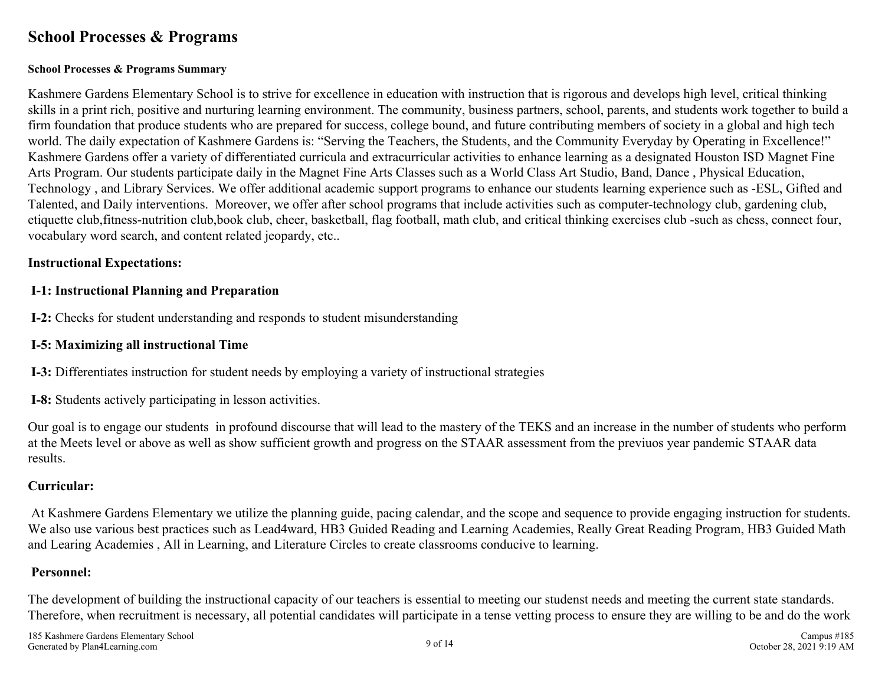## <span id="page-8-0"></span>**School Processes & Programs**

#### **School Processes & Programs Summary**

Kashmere Gardens Elementary School is to strive for excellence in education with instruction that is rigorous and develops high level, critical thinking skills in a print rich, positive and nurturing learning environment. The community, business partners, school, parents, and students work together to build a firm foundation that produce students who are prepared for success, college bound, and future contributing members of society in a global and high tech world. The daily expectation of Kashmere Gardens is: "Serving the Teachers, the Students, and the Community Everyday by Operating in Excellence!" Kashmere Gardens offer a variety of differentiated curricula and extracurricular activities to enhance learning as a designated Houston ISD Magnet Fine Arts Program. Our students participate daily in the Magnet Fine Arts Classes such as a World Class Art Studio, Band, Dance , Physical Education, Technology , and Library Services. We offer additional academic support programs to enhance our students learning experience such as -ESL, Gifted and Talented, and Daily interventions. Moreover, we offer after school programs that include activities such as computer-technology club, gardening club, etiquette club,fitness-nutrition club,book club, cheer, basketball, flag football, math club, and critical thinking exercises club -such as chess, connect four, vocabulary word search, and content related jeopardy, etc..

#### **Instructional Expectations:**

#### **I-1: Instructional Planning and Preparation**

**I-2:** Checks for student understanding and responds to student misunderstanding

#### **I-5: Maximizing all instructional Time**

**I-3:** Differentiates instruction for student needs by employing a variety of instructional strategies

**I-8:** Students actively participating in lesson activities.

Our goal is to engage our students in profound discourse that will lead to the mastery of the TEKS and an increase in the number of students who perform at the Meets level or above as well as show sufficient growth and progress on the STAAR assessment from the previuos year pandemic STAAR data results.

#### **Curricular:**

At Kashmere Gardens Elementary we utilize the planning guide, pacing calendar, and the scope and sequence to provide engaging instruction for students. We also use various best practices such as Lead4ward, HB3 Guided Reading and Learning Academies, Really Great Reading Program, HB3 Guided Math and Learing Academies , All in Learning, and Literature Circles to create classrooms conducive to learning.

#### **Personnel:**

The development of building the instructional capacity of our teachers is essential to meeting our studenst needs and meeting the current state standards. Therefore, when recruitment is necessary, all potential candidates will participate in a tense vetting process to ensure they are willing to be and do the work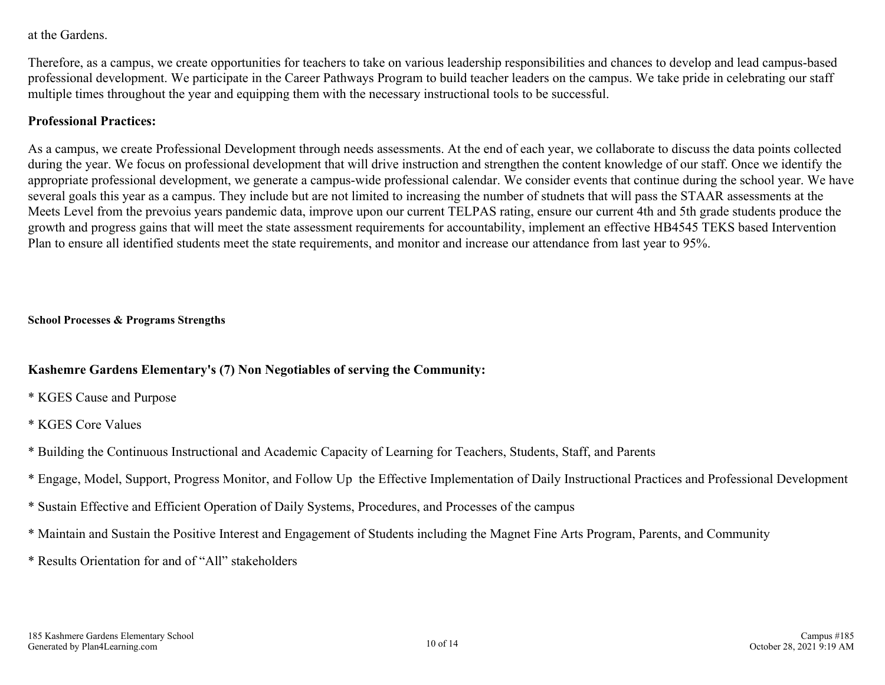at the Gardens.

Therefore, as a campus, we create opportunities for teachers to take on various leadership responsibilities and chances to develop and lead campus-based professional development. We participate in the Career Pathways Program to build teacher leaders on the campus. We take pride in celebrating our staff multiple times throughout the year and equipping them with the necessary instructional tools to be successful.

#### **Professional Practices:**

As a campus, we create Professional Development through needs assessments. At the end of each year, we collaborate to discuss the data points collected during the year. We focus on professional development that will drive instruction and strengthen the content knowledge of our staff. Once we identify the appropriate professional development, we generate a campus-wide professional calendar. We consider events that continue during the school year. We have several goals this year as a campus. They include but are not limited to increasing the number of studnets that will pass the STAAR assessments at the Meets Level from the prevoius years pandemic data, improve upon our current TELPAS rating, ensure our current 4th and 5th grade students produce the growth and progress gains that will meet the state assessment requirements for accountability, implement an effective HB4545 TEKS based Intervention Plan to ensure all identified students meet the state requirements, and monitor and increase our attendance from last year to 95%.

#### **School Processes & Programs Strengths**

#### **Kashemre Gardens Elementary's (7) Non Negotiables of serving the Community:**

- \* KGES Cause and Purpose
- \* KGES Core Values
- \* Building the Continuous Instructional and Academic Capacity of Learning for Teachers, Students, Staff, and Parents
- \* Engage, Model, Support, Progress Monitor, and Follow Up the Effective Implementation of Daily Instructional Practices and Professional Development
- \* Sustain Effective and Efficient Operation of Daily Systems, Procedures, and Processes of the campus
- \* Maintain and Sustain the Positive Interest and Engagement of Students including the Magnet Fine Arts Program, Parents, and Community
- \* Results Orientation for and of "All" stakeholders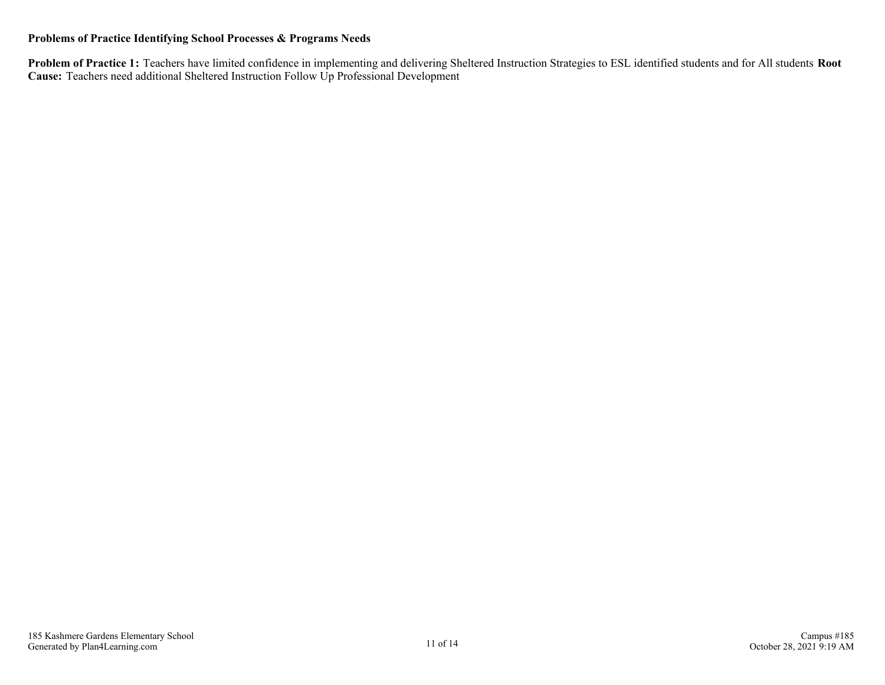#### **Problems of Practice Identifying School Processes & Programs Needs**

**Problem of Practice 1:** Teachers have limited confidence in implementing and delivering Sheltered Instruction Strategies to ESL identified students and for All students **Root Cause:** Teachers need additional Sheltered Instruction Follow Up Professional Development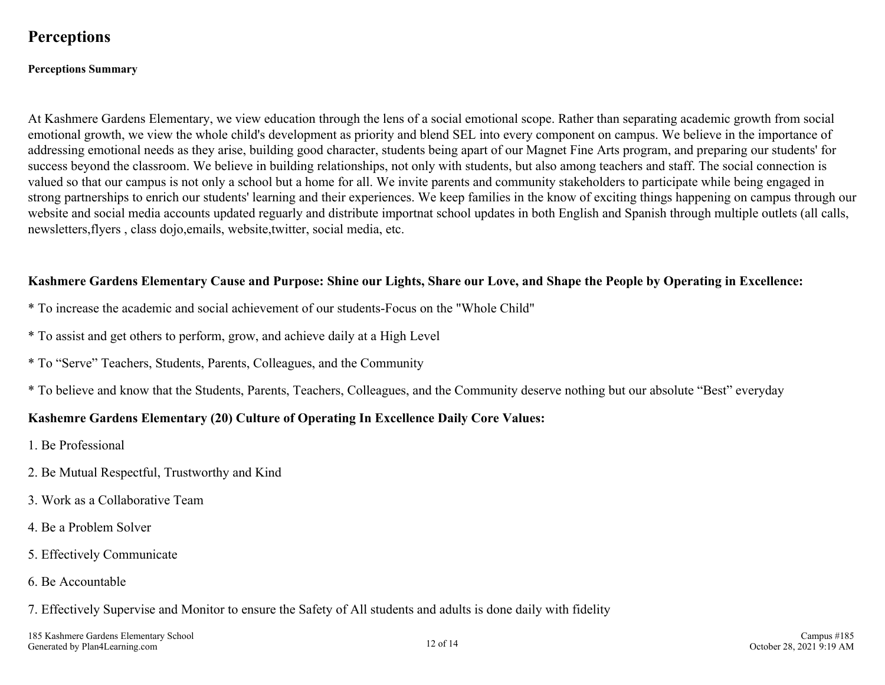## <span id="page-11-0"></span>**Perceptions**

#### **Perceptions Summary**

At Kashmere Gardens Elementary, we view education through the lens of a social emotional scope. Rather than separating academic growth from social emotional growth, we view the whole child's development as priority and blend SEL into every component on campus. We believe in the importance of addressing emotional needs as they arise, building good character, students being apart of our Magnet Fine Arts program, and preparing our students' for success beyond the classroom. We believe in building relationships, not only with students, but also among teachers and staff. The social connection is valued so that our campus is not only a school but a home for all. We invite parents and community stakeholders to participate while being engaged in strong partnerships to enrich our students' learning and their experiences. We keep families in the know of exciting things happening on campus through our website and social media accounts updated reguarly and distribute importnat school updates in both English and Spanish through multiple outlets (all calls, newsletters,flyers , class dojo,emails, website,twitter, social media, etc.

#### **Kashmere Gardens Elementary Cause and Purpose: Shine our Lights, Share our Love, and Shape the People by Operating in Excellence:**

- \* To increase the academic and social achievement of our students-Focus on the "Whole Child"
- \* To assist and get others to perform, grow, and achieve daily at a High Level
- \* To "Serve" Teachers, Students, Parents, Colleagues, and the Community
- \* To believe and know that the Students, Parents, Teachers, Colleagues, and the Community deserve nothing but our absolute "Best" everyday

#### **Kashemre Gardens Elementary (20) Culture of Operating In Excellence Daily Core Values:**

- 1. Be Professional
- 2. Be Mutual Respectful, Trustworthy and Kind
- 3. Work as a Collaborative Team
- 4. Be a Problem Solver
- 5. Effectively Communicate
- 6. Be Accountable
- 7. Effectively Supervise and Monitor to ensure the Safety of All students and adults is done daily with fidelity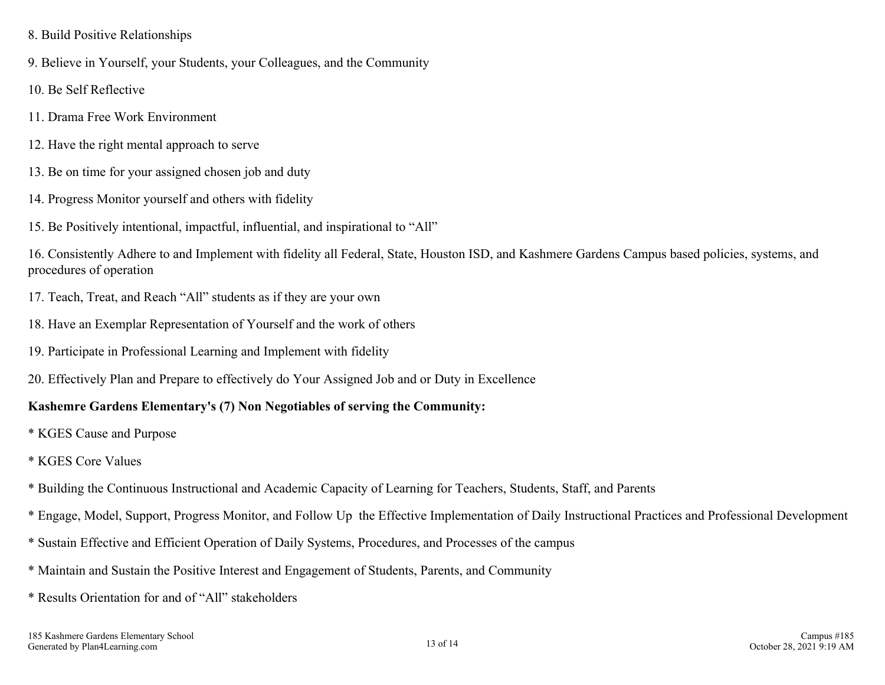- 8. Build Positive Relationships
- 9. Believe in Yourself, your Students, your Colleagues, and the Community
- 10. Be Self Reflective
- 11. Drama Free Work Environment
- 12. Have the right mental approach to serve
- 13. Be on time for your assigned chosen job and duty
- 14. Progress Monitor yourself and others with fidelity
- 15. Be Positively intentional, impactful, influential, and inspirational to "All"

16. Consistently Adhere to and Implement with fidelity all Federal, State, Houston ISD, and Kashmere Gardens Campus based policies, systems, and procedures of operation

- 17. Teach, Treat, and Reach "All" students as if they are your own
- 18. Have an Exemplar Representation of Yourself and the work of others
- 19. Participate in Professional Learning and Implement with fidelity
- 20. Effectively Plan and Prepare to effectively do Your Assigned Job and or Duty in Excellence

### **Kashemre Gardens Elementary's (7) Non Negotiables of serving the Community:**

- \* KGES Cause and Purpose
- \* KGES Core Values
- \* Building the Continuous Instructional and Academic Capacity of Learning for Teachers, Students, Staff, and Parents
- \* Engage, Model, Support, Progress Monitor, and Follow Up the Effective Implementation of Daily Instructional Practices and Professional Development
- \* Sustain Effective and Efficient Operation of Daily Systems, Procedures, and Processes of the campus
- \* Maintain and Sustain the Positive Interest and Engagement of Students, Parents, and Community
- \* Results Orientation for and of "All" stakeholders